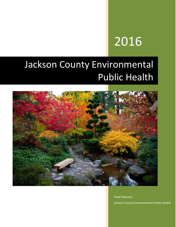# 2016

# Jackson County Environmental Public Health



Chad Petersen Jackson County Environmental Public Health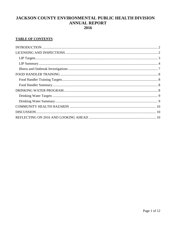### JACKSON COUNTY ENVIRONMENTAL PUBLIC HEALTH DIVISION **ANNUAL REPORT** 2016

#### **TABLE OF CONTENTS**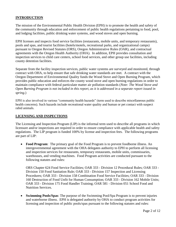#### <span id="page-2-0"></span>**INTRODUCTION**

The mission of the Environmental Public Health Division (EPH) is to promote the health and safety of the community through education and enforcement of public health regulations pertaining to food, pool, and lodging facilities, public drinking water systems, and wood stoves and open burning.

EPH licenses and inspects food service facilities (restaurants, mobile units, and temporary restaurants), pools and spas, and tourist facilities (hotels/motels, recreational parks, and organizational camps) pursuant to Oregon Revised Statutes (ORS), Oregon Administrative Rules (OAR), and contractual agreements with the Oregon Health Authority (OHA). In addition, EPH provides consultation and inspection services to child care centers, school food services, and other group use facilities, including county detention facilities.

Separate from the facility inspection services, public water systems are surveyed and monitored, through contract with OHA, to help ensure that safe drinking water standards are met*.* A contract with the Oregon Department of Environmental Quality funds the Wood Stove and Open Burning Program, which provides public education and enforces the county wood stove and open burning regulations in order to maintain compliance with federal particulate matter air pollution standards (*Note: The Wood Stove and Open Burning Program is not included in this report, as it is addressed in a separate report issued in spring.*)

EPH is also involved in various "community health hazards" (term used to describe miscellaneous public health concerns). Such hazards include recreational water quality and human or pet contact with suspect rabid animals.

#### <span id="page-2-1"></span>**LICENSING AND INSPECTIONS**

The Licensing and Inspection Program (LIP) is the informal term used to describe all programs in which licensure and/or inspections are required in order to ensure compliance with applicable health and safety regulations. The LIP program is funded 100% by license and inspection fees. The following programs are part of LIP:

• Food Program: The primary goal of the Food Program is to prevent foodborne illness. An intergovernmental agreement with the OHA delegates authority to EPH to perform all licensing and inspection services for restaurants, temporary restaurants, mobile units, commissaries, warehouses, and vending machines. Food Program activities are conducted pursuant to the following statutes and rules:

ORS Chapter 624 Food Service Facilities; OAR 333 - Division 12 Procedural Rules; OAR 333 - Division 150 Food Sanitation Rule; OAR 333 - Division 157 Inspection and Licensing Procedures; OAR 333 - Division 158 Combination Food Service Facilities; OAR 333 - Division 160 Destruction of Food Unfit for Human Consumption; OAR 333 - Division 162 Mobile Units; OAR 333 - Division 175 Food Handler Training; OAR 581 - Division 051 School Food and Nutrition Services.

 **Swimming Pools/Spas**: The purpose of the Swimming Pool/Spa Program is to prevent injuries and waterborne illness. EPH is delegated authority by OHA to conduct program activities for licensing and inspection of public pools/spas pursuant to the following statutes and rules: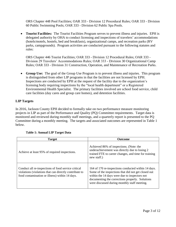ORS Chapter 448 Pool Facilities; OAR 333 - Division 12 Procedural Rules; OAR 333 - Division 60 Public Swimming Pools; OAR 333 - Division 62 Public Spa Pools.

 **Tourist Facilities:** The Tourist Facilities Program serves to prevent illness and injuries. EPH is delegated authority by OHA to conduct licensing and inspections of travelers' accommodations (hotels/motels, hostels, bed and breakfasts), organizational camps, and recreation parks (RV parks, campgrounds). Program activities are conducted pursuant to the following statutes and rules:

ORS Chapter 446 Tourist Facilities; OAR 333 - Division 12 Procedural Rules; OAR 333 - Division 29 Travelers' Accommodations Rules; OAR 333 - Division 30 Organizational Camp Rules; OAR 333 - Division 31 Construction, Operation, and Maintenance of Recreation Parks.

 **Group Use:** The goal of the Group Use Program is to prevent illness and injuries. This program is distinguished from other LIP programs in that the facilities are not licensed by EPH. Inspections are conducted by EPH at the request of the facility due to the organization's licensing body requiring inspections by the "local health department" or a Registered Environmental Health Specialist. The primary facilities involved are school food service, child care facilities (day cares and group care homes), and detention facilities.

#### <span id="page-3-0"></span>**LIP Targets**

In 2016, Jackson County EPH decided to formally take on two performance measure monitoring projects in LIP as part of the Performance and Quality (PQ) Committee requirements. Target data is monitored and reviewed during monthly staff meetings, and a quarterly report is presented to the PQ Committee during a monthly meeting. The targets and associated outcomes are represented in Table 1 below.

<span id="page-3-1"></span>

| <b>Target</b>                                                                                                                                                   | <b>Outcome</b>                                                                                                                                                                                                                                                 |
|-----------------------------------------------------------------------------------------------------------------------------------------------------------------|----------------------------------------------------------------------------------------------------------------------------------------------------------------------------------------------------------------------------------------------------------------|
| Achieve at least 95% of required inspections.                                                                                                                   | Achieved 86% of inspections. (Note: the<br>underachievement was directly due to losing 2<br>trained FTE to career changes, and time for training<br>new staff.)                                                                                                |
| Conduct all re-inspections of food service critical<br>violations (violations that can directly contribute to<br>food contamination or illness) within 14 days. | 164 of 170 re-inspections conducted within 14 days.<br>Some of the inspections that did not get closed out<br>within the 14 days were due to inspectors not<br>documenting the corrections properly. Solutions<br>were discussed during monthly staff meeting. |

#### **Table 1: Annual LIP Target Data**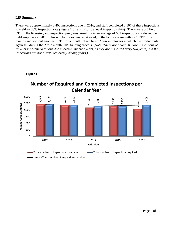#### **LIP Summary**

There were approximately 2,400 inspections due in 2016, and staff completed 2,107 of these inspections to yield an 88% inspection rate (Figure 1 offers historic annual inspection data). There were 3.5 field FTE in the licensing and inspection programs, resulting in an average of 602 inspections conducted per field employee in 2016. This number is somewhat skewed, in the fact we were without 1 FTE for 2 months and without another 1 FTE for a month. Then hired 2 new employees in which the productivity again fell during the 2 to 3 month EHS training process (*Note: There are about 50 more inspections of travelers' accommodations due in even-numbered years, as they are inspected every two years, and the inspections are not distributed evenly among years.)* 



**Figure 1**

Linear (Total number of inspections required)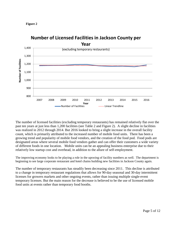



## **Number of Licensed Facilities in Jackson County per**

The number of licensed facilities (excluding temporary restaurants) has remained relatively flat over the past ten years at just less than 1,200 facilities (see Table 2 and Figure 2). A slight decline in facilities was realized in 2012 through 2014. But 2016 looked to bring a slight increase in the overall facility count, which is primarily attributed to the increased number of mobile food units. There has been a growing trend and popularity of mobile food vendors, and the creation of the food pod. Food pods are designated areas where several mobile food vendors gather and can offer their customers a wide variety of different foods in one location. Mobile units can be an appealing business enterprise due to their relatively low startup cost and overhead, in addition to the allure of self-employment.

The improving economy looks to be playing a role in the upswing of facility numbers as well. The department is beginning to see large corporate restaurant and hotel chains building new facilities in Jackson County again.

The number of temporary restaurants has steadily been decreasing since 2011. This decline is attributed to a change in temporary restaurant regulations that allows for 90-day seasonal and 30-day intermittent licenses for growers markets and other ongoing events, rather than issuing multiple single-event temporary licenses. But the main reason for the decrease is believed to be the use of licensed mobile food units at events rather than temporary food booths.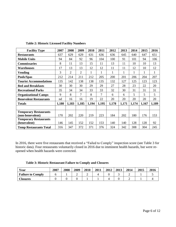| <b>Facility Type</b>          | 2007  | 2008           | 2009            | 2010  | 2011   | 2012  | 2013  | 2014  | 2015  | 2016  |
|-------------------------------|-------|----------------|-----------------|-------|--------|-------|-------|-------|-------|-------|
| <b>Restaurants</b>            | 637   | 629            | 629             | 631   | 636    | 636   | 645   | 640   | 647   | 651   |
| <b>Mobile Units</b>           | 94    | 84             | 92              | 96    | 104    | 100   | 91    | 101   | 94    | 106   |
| <b>Commissaries</b>           | 8     | 11             | 13              | 15    | 11     | 13    | 11    | 10    | 10    | 13    |
| Warehouses                    | 17    | 13             | 13              | 12    | 12     | 11    | 11    | 12    | 10    | 12    |
| Vending                       | 3     | $\overline{2}$ | $\overline{2}$  |       | 1      | 1     |       | 1     | 1     | 1     |
| Pools/Spas                    | 212   | 214            | 211             | 212   | 205    | 200   | 201   | 206   | 204   | 207   |
| <b>Tourist Accommodations</b> | 135   | 142            | 138             | 138   | 135    | 132   | 127   | 125   | 123   | 123   |
| <b>Bed and Breakfasts</b>     | 30    | 30             | 30              | 29    | 29     | 27    | 28    | 23    | 22    | 20    |
| <b>Recreational Parks</b>     | 35    | 34             | 34              | 33    | 33     | 32    | 30    | 31    | 31    | 31    |
| <b>Organizational Camps</b>   | 9     | 8              | $7\phantom{.0}$ | 8     | $\tau$ | 6     | 6     | 5     | 5     | 5     |
| <b>Benevolent Restaurants</b> | nd    | 16             | 16              | 19    | 22     | 20    | 20    | 20    | 20    | 20    |
| <b>Totals</b>                 | 1,180 | 1,183          | 1,185           | 1,194 | 1,195  | 1,178 | 1,171 | 1,174 | 1,167 | 1,189 |
|                               |       |                |                 |       |        |       |       |       |       |       |
| <b>Temporary Restaurants</b>  |       |                |                 |       |        |       |       |       |       |       |
| (non-benevolent)              | 170   | 202            | 220             | 219   | 223    | 184   | 202   | 180   | 176   | 153   |
| <b>Temporary Restaurants</b>  |       |                |                 |       |        |       |       |       |       |       |
| (benevolent)                  | 146   | 145            | 152             | 152   | 153    | 140   | 140   | 128   | 128   | 92    |
| <b>Temp Restaurants Total</b> | 316   | 347            | 372             | 371   | 376    | 324   | 342   | 308   | 304   | 245   |

**Table 2: Historic Licensed Facility Numbers**

In 2016, there were five restaurants that received a "Failed to Comply" inspection score (see Table 3 for historic data). Four restaurants voluntarily closed in 2016 due to imminent health hazards, but were reopened when health hazards were corrected.

|  |  |  |  | Table 3: Historic Restaurant Failure to Comply and Closures |  |  |  |  |  |
|--|--|--|--|-------------------------------------------------------------|--|--|--|--|--|
|--|--|--|--|-------------------------------------------------------------|--|--|--|--|--|

| Year                     | 2007 | 2008 | 2009 | 2010 | 2011 | 2012 | 2013 | 2014 | 2015 | 2016 |
|--------------------------|------|------|------|------|------|------|------|------|------|------|
| <b>Failure to Comply</b> |      |      | ∽    | ∸    |      |      |      | -    |      |      |
| <b>Closures</b>          |      |      |      |      |      |      |      |      |      |      |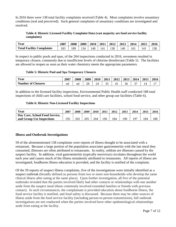In 2016 there were 138 total facility complaints received (Table 4). Most complaints involve unsanitary conditions (real and perceived). Such general complaints of unsanitary conditions are investigated and resolved.

#### **Table 4: Historic Licensed Facility Complaint Data (vast majority are food service facility complaints)**

| Year                             | 2007 | 2008 | 2009 | 2010 | 2011 | 2012 | 2013 | 2014 | 2015 | 2016 |
|----------------------------------|------|------|------|------|------|------|------|------|------|------|
| <b>Total Facility Complaints</b> | 183  | 89   | 134  | 148  | 141  | 138  | ـ 40 | 161  | 141  | 138  |

In respect to public pools and spas, of the 264 inspections conducted in 2016, seventeen resulted in temporary closure, commonly due to insufficient levels of chlorine disinfectant (Table 5). The facilities are allowed to reopen as soon as their water chemistry meets the appropriate parameters.

#### **Table 5: Historic Pool and Spa Temporary Closures**

| Year                      | 2007 | 2008 | 2009     | 2010 | 2011 | 2012 | 2013 | 2014        | 2015 | 2016 |
|---------------------------|------|------|----------|------|------|------|------|-------------|------|------|
| <b>Number of Closures</b> | nd   | nd   | ററ<br>20 | 24   | ັ    |      | 36   | $\sim$<br>ັ |      | . .  |

In addition to the licensed facility inspections, Environmental Public Health staff conducted 188 total inspections of child care facilities, school food service, and other group use facilities (Table 6).

#### **Table 6: Historic Non-Licensed Facility Inspections**

| Year                           | 2007 | 2008 | 2009 | 2010 | 2011 | 2012 | 2013 | 2014 | 2015 | 2016 |
|--------------------------------|------|------|------|------|------|------|------|------|------|------|
| Day Care, School Food Service, |      |      |      |      |      |      |      |      |      |      |
| and Group Use Inspections      | 105  | 202  | 205  | 204  | 196  | 184  | 190  | 197  | 184  | 188  |

#### <span id="page-7-0"></span>**Illness and Outbreak Investigations**

59 of the aforementioned 138 complaints were reports of illness thought to be associated with a restaurant. Because a large portion of the population associates gastroenteritis with the last meal they consumed, illnesses are often attributed to restaurants. In reality, seldom are illnesses caused by the suspect facility. In addition, viral gastroenteritis (typically norovirus) circulates throughout the world each year and causes much of the illness mistakenly attributed to restaurants. All reports of illness are investigated, foodborne illness education is provided, and the facility is notified of the complaint.

Of the 59 reports of suspect illness complaints, five of the investigations were initially identified as a suspect outbreak (broadly defined as persons from two or more non-households who develop the same clinical illness after eating at the same place). Upon further investigation, all five of the potential outbreaks revealed that the parties involved likely had other contacts or relationships with one another aside from the suspect meal (these commonly involved extended families or friends with previous contact). In such circumstances, the complainant is provided education about foodborne illness, the food service facility is notified, and food safety is discussed. Because there may be other sources of illness aside from the food service facility (including person-to-person transmission), full outbreak investigations are not conducted when the parties involved have other epidemiological relationships aside from eating at the facility.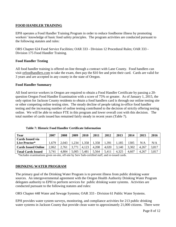#### <span id="page-8-0"></span>**FOOD HANDLER TRAINING**

EPH operates a Food Handler Training Program in order to reduce foodborne illness by promoting workers' knowledge of basic food safety principles. The program activities are conducted pursuant to the following statutes and rules:

ORS Chapter 624 Food Service Facilities; OAR 333 - Division 12 Procedural Rules; OAR 333 - Division 175 Food Handler Training.

#### <span id="page-8-1"></span>**Food Handler Testing**

All food handler training is offered on-line through a contract with Lane County. Food handlers can visit orfoodhandlers.com to take the exam, then pay the \$10 fee and print their card. Cards are valid for 3 years and are accepted in any county in the state of Oregon.

#### <span id="page-8-2"></span>**Food Handler Summary**

All food service workers in Oregon are required to obtain a Food Handler Certificate by passing a 20 question Oregon Food Handler Examination with a score of 75% or greater. As of January 1, 2015, the only option for Jackson County residents to obtain a food handlers card is through our online testing site or other competing online testing sites. The steady decline of people taking in-office food handler testing and the increasing number of online testing contributed to the decision of strictly offering testing online. We will be able to reduce FTE in this program and lower overall cost with this decision. The total number of cards issued has remained fairly steady in recent years (Table 7).

| Year                       | 2007  | 2008  | 2009  | 2010  | 2011  | 2012  | 2013  | 2014  | 2015  | 2016  |
|----------------------------|-------|-------|-------|-------|-------|-------|-------|-------|-------|-------|
| Cards Issued via           |       |       |       |       |       |       |       |       |       |       |
| Live Proctor*              | .679  | 2,043 | 1,234 | 1,358 | 1,358 | .391  | .,185 | 305   | N/A   | N/A   |
| <b>Cards Issued Online</b> | 2,062 | 2,761 |       | 4.123 | 4,208 | 4,020 | 3,140 | 3,302 | 4.267 | 3,817 |
| <b>Total Cards Issued</b>  | 3,741 | 4,804 | 5,005 | 5,481 | 5,564 | 5,411 | 4,325 | 4,607 | 4.267 | 3.817 |

<span id="page-8-3"></span>**Table 7: Historic Food Handler Certificate Information**

\*Includes examinations given on-site, off-site by Serv Safe-certified staff, and re-issued cards.

#### **DRINKING WATER PROGRAM**

The primary goal of the Drinking Water Program is to prevent illness from public drinking water sources. An intergovernmental agreement with the Oregon Health Authority Drinking Water Program delegates authority to EPH to perform services for public drinking water systems. Activities are conducted pursuant to the following statutes and rules:

ORS Chapter 448 Water and Sewage Systems; OAR 333 - Division 61 Public Water Systems.

EPH provides water system surveys, monitoring, and compliance activities for 213 public drinking water systems in Jackson County that provide clean water to approximately 21,000 citizens. There were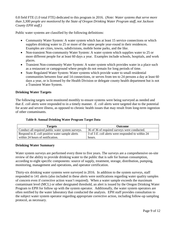0.8 field FTE (1.0 total FTE) dedicated to this program in 2016. (*Note: Water systems that serve more than 3,300 people are monitored by the State of Oregon Drinking Water Program staff, not Jackson County EPH staff.)*

Public water systems are classified by the following definitions:

- Community Water System: A water system which has at least 15 service connections or which supplies drinking water to 25 or more of the same people year-round in their residences. Examples are cities, towns, subdivisions, mobile home parks, and the like.
- Non-transient Non-community Water System: A water system which supplies water to 25 or more different people for at least 60 days a year. Examples include schools, hospitals, and work places.
- Transient Non-community Water System: A water system which provides water in a place such as a restaurant or campground where people do not remain for long periods of time.
- State Regulated Water System: Water systems which provide water to small residential communities between four and 14 connections, or serves from ten to 24 persons a day at least 60 days a year, or is licensed by the Health Division or delegate county health department but is not a Transient Water System.

#### <span id="page-9-0"></span>**Drinking Water Targets**

The following targets were monitored monthly to ensure systems were being surveyed as needed and that *E. coli* alerts were responded to in a timely manner. *E. coli* alerts were targeted due to the potential for acute and severe illness, as opposed to chronic health issues that may result from long-term ingestion of other contaminants.

#### **Table 8: Annual Drinking Water Program Target Data**

| Targets                                           | <b>Outcome</b>                                    |
|---------------------------------------------------|---------------------------------------------------|
| Conduct all required public water system surveys. | 36 of 36 of required surveys were conducted.      |
| Respond to E. coli positive water sample alerts   | 3 of 3 E. coli alerts were responded to within 24 |
| within 24 hours of notification.                  | hours.                                            |

#### <span id="page-9-1"></span>**Drinking Water Summary**

Water system surveys are performed every three to five years. The surveys are a comprehensive on-site review of the ability to provide drinking water to the public that is safe for human consumption, according to eight specific components: source of supply, treatment, storage, distribution, pumping, monitoring, management and operations, and operator certification.

Thirty-six drinking water systems were surveyed in 2016. In addition to the system surveys, staff responded to 141 alerts (also included in these alerts were notifications regarding water quality samples of concern even if corrective action wasn't required). When a water sample exceeds the maximum contaminant level (MCL) or other designated threshold, an alert is issued by the Oregon Drinking Water Program to EPH for follow up with the system operator. Additionally, the water system operators are often notified by the water laboratory that conducted the analysis. EPH staff provides consultation to the subject water system operator regarding appropriate corrective action, including follow-up sampling protocol, as necessary.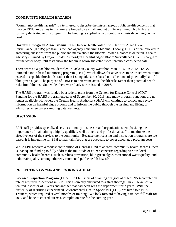#### <span id="page-10-0"></span>**COMMUNITY HEALTH HAZARDS**

"Community health hazards" is a term used to describe the miscellaneous public health concerns that involve EPH. Activities in this area are funded by a small amount of General Fund. No FTE are formally dedicated to this program. The funding is applied on a discretionary basis depending on the need.

**Harmful Blue-green Algae Blooms:** The Oregon Health Authority's Harmful Algae Bloom Surveillance (HABS) program is the lead agency concerning blooms. Locally, EPH is often involved in answering questions from the public and media about the blooms. When a bloom is detected, a health advisory is issued by Oregon Health Authority's Harmful Algae Bloom Surveillance (HABS) program for the water body until tests show the bloom is below the established threshold considered safe.

There were no algae blooms identified in Jackson County water bodies in 2016. In 2012, HABS initiated a toxin-based monitoring program (TBM), which allows for advisories to be issued when toxins exceed acceptable thresholds, rather than issuing advisories based on cell counts of potentially harmful blue-green algae. The purpose of TBM is to determine actual health risks rather than potential health risks from blooms. Statewide, there were 9 advisories issued in 2016.

The HABS program was funded by a federal grant from the Centers for Disease Control (CDC). Funding for the HABS program ended as of September 30, 2013, and many program functions are no longer available. However, the Oregon Health Authority (OHA) will continue to collect and review information on harmful algae blooms and to inform the public through the issuing and lifting of advisories when water sampling data warrants.

#### <span id="page-10-1"></span>**DISCUSSION**

EPH staff provides specialized services to many businesses and organizations, emphasizing the importance of maintaining a highly qualified, well trained, and professional staff to maximize the effectiveness of the services to the community. Because the licensing and inspection programs are feebased, it is imperative for EPH to maintain fees that are adequate to cover associated program costs.

While EPH receives a modest contribution of General Fund to address community health hazards, there is inadequate funding to fully address the multitude of citizen concerns regarding various local community health hazards, such as rabies prevention, blue-green algae, recreational water quality, and indoor air quality, among other environmental public health hazards.

#### <span id="page-10-2"></span>**REFLECTING ON 2016 AND LOOKING AHEAD**

**Licensed Inspection Program (LIP):** EPH fell short of attaining our goal of at least 95% completion rate of required inspections in LIP. This is directly attributed to a staff shortage. In 2016 we lost a tenured inspector of 7 years and another that had been with the department for 2 years. With the difficulty of recruiting experienced Environmental Health Specialists (EHS), we hired two EHS Trainees, which required several months of training. We look forward to having a trained full staff for 2017 and hope to exceed our 95% completion rate for the coming year.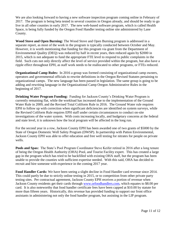We are also looking forward to having a new software inspection program coming online in February of 2017. The program is being beta tested in several counties in Oregon already, and should be ready to go live in all other counties in early 2017. The new web-based software program, which is called Health Space, is being fully funded by the Oregon Food Handler testing online site administered by Lane County.

**Wood Stove and Open Burning:** The Wood Stove and Open Burning program is addressed in a separate report, as most of the work in the program is typically conducted between October and May. However, it is worth mentioning that funding for this program via grant from the Department of Environmental Quality (DEQ) was reduced by half in recent years, then reduced again by \$2000 in 2015, which is not adequate to fund the appropriate FTE level to respond to public complaints in the field. Such cuts not only directly affect the level of service provided within the program, but also have a ripple effect throughout EPH, as staff work needs to be reallocated to other programs, or FTEs reduced.

**Organizational Camp Rules:** In 2016 a group was formed consisting of organizational camp owners, operators and governmental officials to rewrite definitions in the Oregon Revised Statutes pertaining to organizational camps. The new language has been passed in legislation. The same group is going to be adding and rewriting language in the Organizational Camp Oregon Administrative Rules in the beginning of 2017.

**Drinking Water Program Funding:** Funding for Jackson County's Drinking Water Program is currently remaining flat, while the workload has increased due to the implementation of the Ground Water Rule in 2009, and the Revised Total Coliform Rule in 2016. The Ground Water rule requires EPH to follow up with correction when significant deficiencies are identified on system surveys, while the Revised Coliform Rule requires EPH staff under certain circumstances to conduct on-site investigations of the water system. With costs increasing locally, and budgetary concerns at the federal and state level, it is unknown how the local program will be affected in the long run.

For the second year in a row, Jackson County EPH has been awarded one of two grants of \$5000 by the State of Oregon Domestic Well Safety Program (DWSP). In partnership with Patton Environmental, Jackson County EPH was able to offer education and free well testing for nitrates for people on private wells.

**Pools and Spas:** The State's Pool Program Coordinator Steve Keifer retired in 2016 after a long tenure of being the Oregon Health Authority (OHA) Pool, and Tourist Facility expert. This has created a large gap in the program which has tried to be backfilled with existing OHA staff, but the program has been unable to provide the counties with sufficient expertise needed. With this said, OHA has decided to recruit and hire someone with experience in the coming 2017 year.

**Food Handler Cards:** We have been seeing a slight decline in Food Handler card revenue since 2014. This could partly be due to strictly online testing in 2015, or to competition from other private party testing sites. Per contractual agreement, Jackson County EPH receives a portion of revenue when Jackson County residents get their cards through [www.orfoodhandlers.com,](http://www.orfoodhandlers.com/) which equates to \$8.00 per card. It is also noteworthy that food handler certificate fees have been capped at \$10.00 by statute for more than fifteen years. Historically, this revenue has provided funding to support our front office assistants in administering not only the food handler program, but assisting in the LIP program.